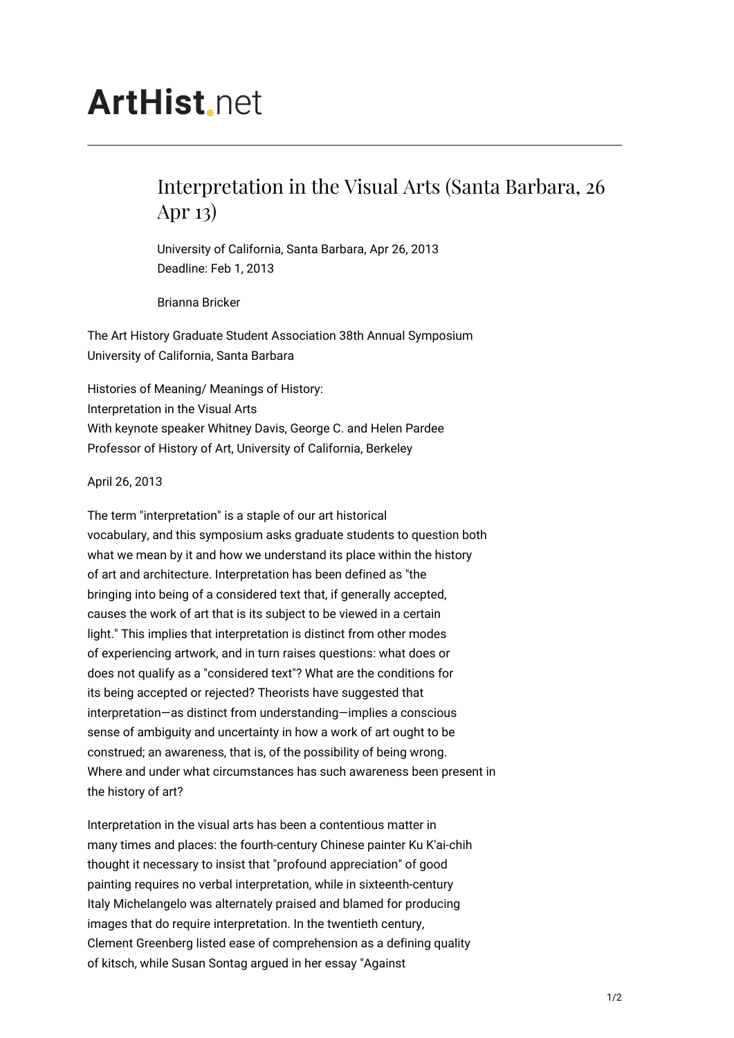## **ArtHist** net

## Interpretation in the Visual Arts (Santa Barbara, 26 Apr 13)

University of California, Santa Barbara, Apr 26, 2013 Deadline: Feb 1, 2013

Brianna Bricker

The Art History Graduate Student Association 38th Annual Symposium University of California, Santa Barbara

Histories of Meaning/ Meanings of History: Interpretation in the Visual Arts With keynote speaker Whitney Davis, George C. and Helen Pardee Professor of History of Art, University of California, Berkeley

April 26, 2013

The term "interpretation" is a staple of our art historical vocabulary, and this symposium asks graduate students to question both what we mean by it and how we understand its place within the history of art and architecture. Interpretation has been defined as "the bringing into being of a considered text that, if generally accepted, causes the work of art that is its subject to be viewed in a certain light." This implies that interpretation is distinct from other modes of experiencing artwork, and in turn raises questions: what does or does not qualify as a "considered text"? What are the conditions for its being accepted or rejected? Theorists have suggested that interpretation—as distinct from understanding—implies a conscious sense of ambiguity and uncertainty in how a work of art ought to be construed; an awareness, that is, of the possibility of being wrong. Where and under what circumstances has such awareness been present in the history of art?

Interpretation in the visual arts has been a contentious matter in many times and places: the fourth-century Chinese painter Ku K'ai-chih thought it necessary to insist that "profound appreciation" of good painting requires no verbal interpretation, while in sixteenth-century Italy Michelangelo was alternately praised and blamed for producing images that do require interpretation. In the twentieth century, Clement Greenberg listed ease of comprehension as a defining quality of kitsch, while Susan Sontag argued in her essay "Against